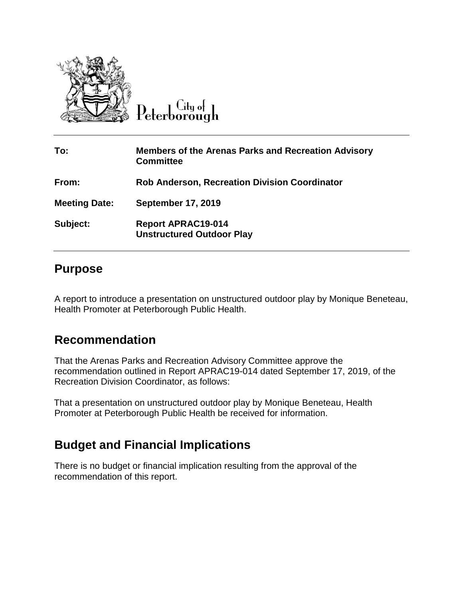

Peterborough

| To:                  | <b>Members of the Arenas Parks and Recreation Advisory</b><br><b>Committee</b> |
|----------------------|--------------------------------------------------------------------------------|
| From:                | <b>Rob Anderson, Recreation Division Coordinator</b>                           |
| <b>Meeting Date:</b> | <b>September 17, 2019</b>                                                      |
| Subject:             | <b>Report APRAC19-014</b><br><b>Unstructured Outdoor Play</b>                  |

## **Purpose**

A report to introduce a presentation on unstructured outdoor play by Monique Beneteau, Health Promoter at Peterborough Public Health.

## **Recommendation**

That the Arenas Parks and Recreation Advisory Committee approve the recommendation outlined in Report APRAC19-014 dated September 17, 2019, of the Recreation Division Coordinator, as follows:

That a presentation on unstructured outdoor play by Monique Beneteau, Health Promoter at Peterborough Public Health be received for information.

## **Budget and Financial Implications**

There is no budget or financial implication resulting from the approval of the recommendation of this report.